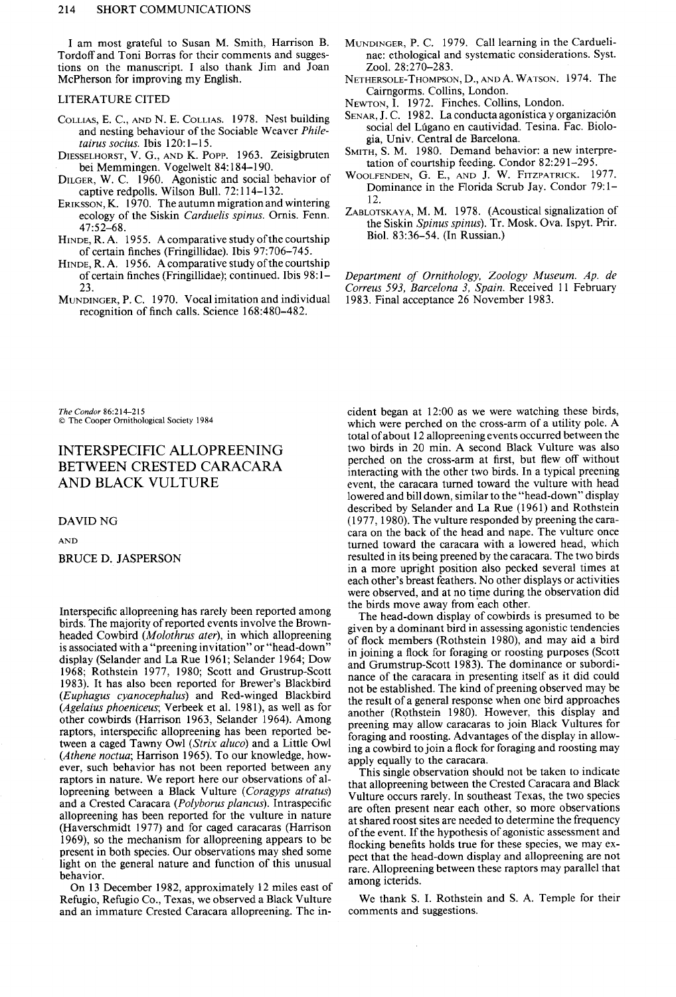I am most grateful to Susan M. Smith, Harrison B. Tordoff and Toni Borras for their comments and suggestions on the manuscript. I also thank Jim and Joan McPherson for improving my English.

#### LITERATURE CITED

- COLLIAS, E. C., AND N. E. COLLIAS. 1978. Nest building and nesting behaviour of the Sociable Weaver Philetairus socius. Ibis  $120:1-15$ .
- DIESSELHORST, V. G., AND K. POPP. 1963. Zeisigbruten bei Memmingen. Vogelwelt 84:184-190.
- DILGER, W. C. 1960. Agonistic and social behavior of captive redpolls. Wilson Bull. 72:114-132.
- ERIKSSON, K. 1970. The autumn migration and wintering ecology of the Siskin Carduelis spinus. Ornis. Fenn.  $47:52 - 68.$
- HINDE, R. A. 1955. A comparative study of the courtship of certain finches (Fringillidae). Ibis 97:706-745.
- HINDE, R. A. 1956. A comparative study of the courtship of certain finches (Fringillidae); continued. Ibis 98:1-23.
- MUNDINGER, P. C. 1970. Vocal imitation and individual recognition of finch calls. Science 168:480-482.
- MUNDINGER, P. C. 1979. Call learning in the Carduelinae: ethological and systematic considerations. Syst. Zool. 28:270-283.
- NETHERSOLE-THOMPSON, D., AND A. WATSON. 1974. The Cairngorms. Collins, London.
- NEWTON, I. 1972. Finches. Collins, London.
- SENAR, J. C. 1982. La conducta agonística y organización social del Lúgano en cautividad. Tesina. Fac. Biologia, Univ. Central de Barcelona.
- SMITH, S. M. 1980. Demand behavior: a new interpretation of courtship feeding. Condor 82:291-295.
- WOOLFENDEN, G. E., AND J. W. FITZPATRICK. 1977. Dominance in the Florida Scrub Jay. Condor 79:1-12.
- ZABLOTSKAYA, M. M. 1978. (Acoustical signalization of the Siskin Spinus spinus). Tr. Mosk. Ova. Ispyt. Prir. Biol. 83:36-54. (In Russian.)

Department of Ornithology, Zoology Museum. Ap. de Correus 593, Barcelona 3, Spain. Received 11 February 1983. Final acceptance 26 November 1983.

The Condor 86:214-215 C The Cooper Ornithological Society 1984

# INTERSPECIFIC ALLOPREENING BETWEEN CRESTED CARACARA AND BLACK VULTURE

#### **DAVID NG**

**AND** 

## **BRUCE D. JASPERSON**

Interspecific allopreening has rarely been reported among birds. The majority of reported events involve the Brownheaded Cowbird (Molothrus ater), in which allopreening is associated with a "preening invitation" or "head-down" display (Selander and La Rue 1961; Selander 1964; Dow 1968; Rothstein 1977, 1980; Scott and Grustrup-Scott 1983). It has also been reported for Brewer's Blackbird (Euphagus cyanocephalus) and Red-winged Blackbird (Agelaius phoeniceus; Verbeek et al. 1981), as well as for other cowbirds (Harrison 1963, Selander 1964). Among raptors, interspecific allopreening has been reported between a caged Tawny Owl (Strix aluco) and a Little Owl (Athene noctua; Harrison 1965). To our knowledge, however, such behavior has not been reported between any raptors in nature. We report here our observations of allopreening between a Black Vulture (Coragyps atratus) and a Crested Caracara (Polyborus plancus). Intraspecific allopreening has been reported for the vulture in nature (Haverschmidt 1977) and for caged caracaras (Harrison 1969), so the mechanism for allopreening appears to be present in both species. Our observations may shed some light on the general nature and function of this unusual behavior.

On 13 December 1982, approximately 12 miles east of Refugio, Refugio Co., Texas, we observed a Black Vulture and an immature Crested Caracara allopreening. The incident began at 12:00 as we were watching these birds, which were perched on the cross-arm of a utility pole. A total of about 12 allopreening events occurred between the two birds in 20 min. A second Black Vulture was also perched on the cross-arm at first, but flew off without interacting with the other two birds. In a typical preening event, the caracara turned toward the vulture with head lowered and bill down, similar to the "head-down" display described by Selander and La Rue (1961) and Rothstein (1977, 1980). The vulture responded by preening the caracara on the back of the head and nape. The vulture once turned toward the caracara with a lowered head, which resulted in its being preened by the caracara. The two birds in a more upright position also pecked several times at each other's breast feathers. No other displays or activities were observed, and at no time during the observation did the birds move away from each other.

The head-down display of cowbirds is presumed to be given by a dominant bird in assessing agonistic tendencies of flock members (Rothstein 1980), and may aid a bird in joining a flock for foraging or roosting purposes (Scott and Grumstrup-Scott 1983). The dominance or subordinance of the caracara in presenting itself as it did could not be established. The kind of preening observed may be the result of a general response when one bird approaches another (Rothstein 1980). However, this display and preening may allow caracaras to join Black Vultures for foraging and roosting. Advantages of the display in allowing a cowbird to join a flock for foraging and roosting may apply equally to the caracara.

This single observation should not be taken to indicate that allopreening between the Crested Caracara and Black Vulture occurs rarely. In southeast Texas, the two species are often present near each other, so more observations at shared roost sites are needed to determine the frequency of the event. If the hypothesis of agonistic assessment and flocking benefits holds true for these species, we may expect that the head-down display and allopreening are not rare. Allopreening between these raptors may parallel that among icterids.

We thank S. I. Rothstein and S. A. Temple for their comments and suggestions.

 $\bar{r}$